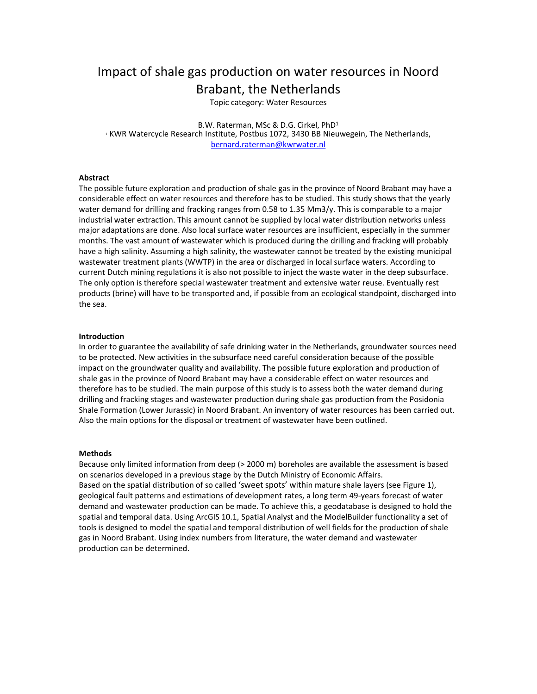# Impact of shale gas production on water resources in Noord Brabant, the Netherlands

Topic category: Water Resources

B.W. Raterman, MSc & D.G. Cirkel, PhD1 <sup>1</sup> KWR Watercycle Research Institute, Postbus 1072, 3430 BB Nieuwegein, The Netherlands, bernard.raterman@kwrwater.nl

## **Abstract**

The possible future exploration and production of shale gas in the province of Noord Brabant may have a considerable effect on water resources and therefore has to be studied. This study shows that the yearly water demand for drilling and fracking ranges from 0.58 to 1.35 Mm3/y. This is comparable to a major industrial water extraction. This amount cannot be supplied by local water distribution networks unless major adaptations are done. Also local surface water resources are insufficient, especially in the summer months. The vast amount of wastewater which is produced during the drilling and fracking will probably have a high salinity. Assuming a high salinity, the wastewater cannot be treated by the existing municipal wastewater treatment plants (WWTP) in the area or discharged in local surface waters. According to current Dutch mining regulations it is also not possible to inject the waste water in the deep subsurface. The only option is therefore special wastewater treatment and extensive water reuse. Eventually rest products (brine) will have to be transported and, if possible from an ecological standpoint, discharged into the sea.

### **Introduction**

In order to guarantee the availability of safe drinking water in the Netherlands, groundwater sources need to be protected. New activities in the subsurface need careful consideration because of the possible impact on the groundwater quality and availability. The possible future exploration and production of shale gas in the province of Noord Brabant may have a considerable effect on water resources and therefore has to be studied. The main purpose of this study is to assess both the water demand during drilling and fracking stages and wastewater production during shale gas production from the Posidonia Shale Formation (Lower Jurassic) in Noord Brabant. An inventory of water resources has been carried out. Also the main options for the disposal or treatment of wastewater have been outlined.

#### **Methods**

Because only limited information from deep (> 2000 m) boreholes are available the assessment is based on scenarios developed in a previous stage by the Dutch Ministry of Economic Affairs. Based on the spatial distribution of so called 'sweet spots' within mature shale layers (see Figure 1), geological fault patterns and estimations of development rates, a long term 49-years forecast of water demand and wastewater production can be made. To achieve this, a geodatabase is designed to hold the spatial and temporal data. Using ArcGIS 10.1, Spatial Analyst and the ModelBuilder functionality a set of tools is designed to model the spatial and temporal distribution of well fields for the production of shale gas in Noord Brabant. Using index numbers from literature, the water demand and wastewater production can be determined.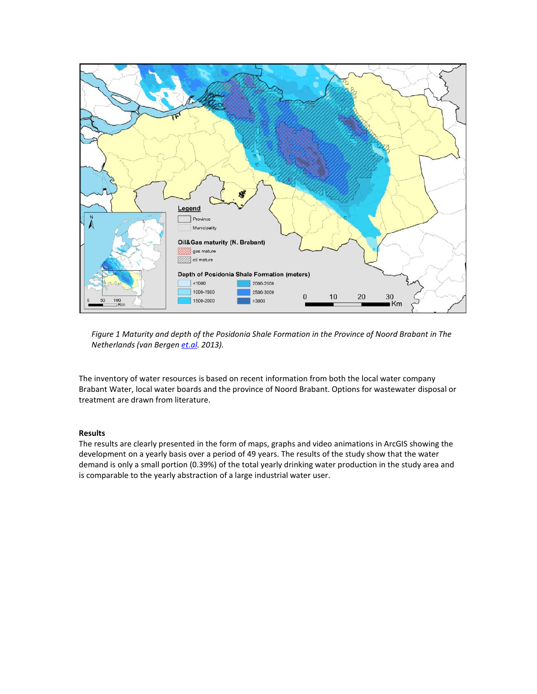

*Figure 1 Maturity and depth of the Posidonia Shale Formation in the Province of Noord Brabant in The Netherlands (van Bergen et.al. 2013).* 

The inventory of water resources is based on recent information from both the local water company Brabant Water, local water boards and the province of Noord Brabant. Options for wastewater disposal or treatment are drawn from literature.

# **Results**

The results are clearly presented in the form of maps, graphs and video animations in ArcGIS showing the development on a yearly basis over a period of 49 years. The results of the study show that the water demand is only a small portion (0.39%) of the total yearly drinking water production in the study area and is comparable to the yearly abstraction of a large industrial water user.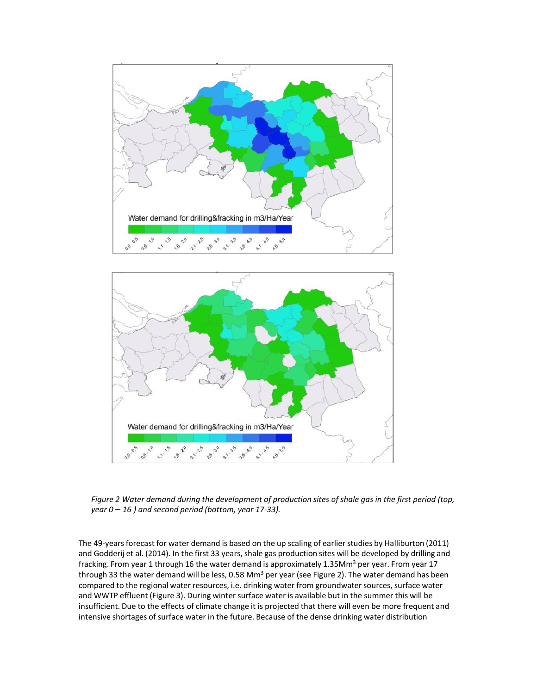



*Figure 2 Water demand during the development of production sites of shale gas in the first period (top, year 0 – 16 ) and second period (bottom, year 17-33).* 

The 49-years forecast for water demand is based on the up scaling of earlier studies by Halliburton (2011) and Godderij et al. (2014). In the first 33 years, shale gas production sites will be developed by drilling and fracking. From year 1 through 16 the water demand is approximately 1.35Mm<sup>3</sup> per year. From year 17 through 33 the water demand will be less, 0.58 Mm<sup>3</sup> per year (see Figure 2). The water demand has been compared to the regional water resources, i.e. drinking water from groundwater sources, surface water and WWTP effluent (Figure 3). During winter surface water is available but in the summer this will be insufficient. Due to the effects of climate change it is projected that there will even be more frequent and intensive shortages of surface water in the future. Because of the dense drinking water distribution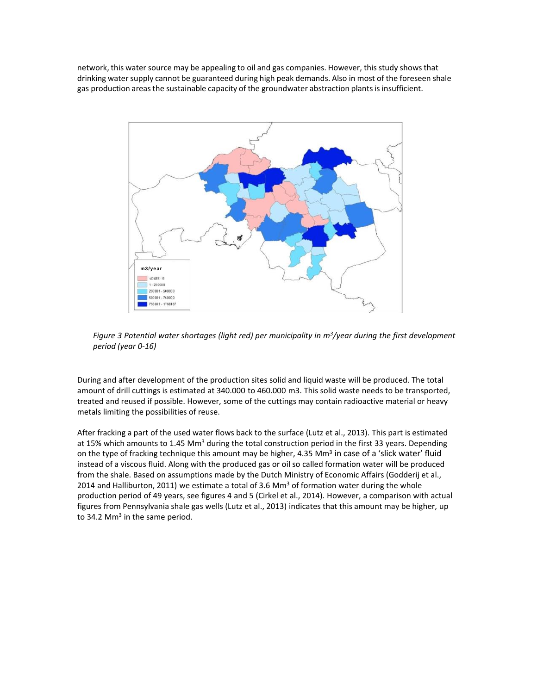network, this water source may be appealing to oil and gas companies. However, this study shows that drinking water supply cannot be guaranteed during high peak demands. Also in most of the foreseen shale gas production areas the sustainable capacity of the groundwater abstraction plants is insufficient.



*Figure 3 Potential water shortages (light red) per municipality in m3/year during the first development period (year 0-16)*

During and after development of the production sites solid and liquid waste will be produced. The total amount of drill cuttings is estimated at 340.000 to 460.000 m3. This solid waste needs to be transported, treated and reused if possible. However, some of the cuttings may contain radioactive material or heavy metals limiting the possibilities of reuse.

After fracking a part of the used water flows back to the surface (Lutz et al., 2013). This part is estimated at 15% which amounts to 1.45 Mm<sup>3</sup> during the total construction period in the first 33 years. Depending on the type of fracking technique this amount may be higher, 4.35 Mm<sup>3</sup> in case of a 'slick water' fluid instead of a viscous fluid. Along with the produced gas or oil so called formation water will be produced from the shale. Based on assumptions made by the Dutch Ministry of Economic Affairs (Godderij et al., 2014 and Halliburton, 2011) we estimate a total of 3.6 Mm<sup>3</sup> of formation water during the whole production period of 49 years, see figures 4 and 5 (Cirkel et al., 2014). However, a comparison with actual figures from Pennsylvania shale gas wells (Lutz et al., 2013) indicates that this amount may be higher, up to 34.2 Mm<sup>3</sup> in the same period.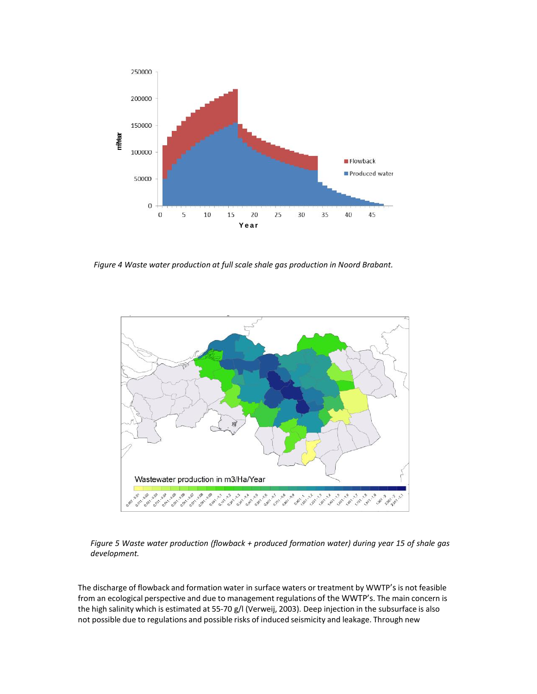

*Figure 4 Waste water production at full scale shale gas production in Noord Brabant.* 



*Figure 5 Waste water production (flowback + produced formation water) during year 15 of shale gas development.*

The discharge of flowback and formation water in surface waters or treatment by WWTP's is not feasible from an ecological perspective and due to management regulations of the WWTP's. The main concern is the high salinity which is estimated at 55-70 g/l (Verweij, 2003). Deep injection in the subsurface is also not possible due to regulations and possible risks of induced seismicity and leakage. Through new